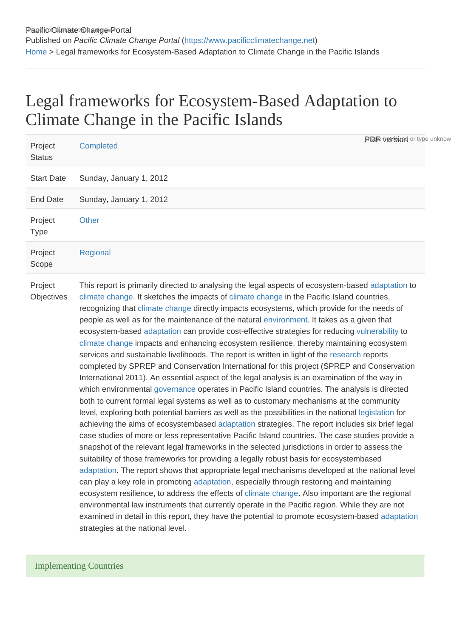## Legal frameworks for Ecosystem-Based Adaptation to Climate Change in the Pacific Islands

| Project<br><b>Status</b> | <b>Completed</b>                                                                                                                                                                                                                                                                                                                                                                                                                                                                                                                                                                                                                                                                                                                                                                                                                                                                                                                                                                                                                                                                                                                                                                                                                                                                                                                                                                                                                                                                                                                                                                                                                                                                                                                                                                                                                                                                                                                                                                                                                                                                                                                                  | <b>Praje version</b> or type unknow |
|--------------------------|---------------------------------------------------------------------------------------------------------------------------------------------------------------------------------------------------------------------------------------------------------------------------------------------------------------------------------------------------------------------------------------------------------------------------------------------------------------------------------------------------------------------------------------------------------------------------------------------------------------------------------------------------------------------------------------------------------------------------------------------------------------------------------------------------------------------------------------------------------------------------------------------------------------------------------------------------------------------------------------------------------------------------------------------------------------------------------------------------------------------------------------------------------------------------------------------------------------------------------------------------------------------------------------------------------------------------------------------------------------------------------------------------------------------------------------------------------------------------------------------------------------------------------------------------------------------------------------------------------------------------------------------------------------------------------------------------------------------------------------------------------------------------------------------------------------------------------------------------------------------------------------------------------------------------------------------------------------------------------------------------------------------------------------------------------------------------------------------------------------------------------------------------|-------------------------------------|
| <b>Start Date</b>        | Sunday, January 1, 2012                                                                                                                                                                                                                                                                                                                                                                                                                                                                                                                                                                                                                                                                                                                                                                                                                                                                                                                                                                                                                                                                                                                                                                                                                                                                                                                                                                                                                                                                                                                                                                                                                                                                                                                                                                                                                                                                                                                                                                                                                                                                                                                           |                                     |
| <b>End Date</b>          | Sunday, January 1, 2012                                                                                                                                                                                                                                                                                                                                                                                                                                                                                                                                                                                                                                                                                                                                                                                                                                                                                                                                                                                                                                                                                                                                                                                                                                                                                                                                                                                                                                                                                                                                                                                                                                                                                                                                                                                                                                                                                                                                                                                                                                                                                                                           |                                     |
| Project<br><b>Type</b>   | Other                                                                                                                                                                                                                                                                                                                                                                                                                                                                                                                                                                                                                                                                                                                                                                                                                                                                                                                                                                                                                                                                                                                                                                                                                                                                                                                                                                                                                                                                                                                                                                                                                                                                                                                                                                                                                                                                                                                                                                                                                                                                                                                                             |                                     |
| Project<br>Scope         | Regional                                                                                                                                                                                                                                                                                                                                                                                                                                                                                                                                                                                                                                                                                                                                                                                                                                                                                                                                                                                                                                                                                                                                                                                                                                                                                                                                                                                                                                                                                                                                                                                                                                                                                                                                                                                                                                                                                                                                                                                                                                                                                                                                          |                                     |
| Project<br>Objectives    | This report is primarily directed to analysing the legal aspects of ecosystem-based adaptation to<br>climate change. It sketches the impacts of climate change in the Pacific Island countries,<br>recognizing that climate change directly impacts ecosystems, which provide for the needs of<br>people as well as for the maintenance of the natural environment. It takes as a given that<br>ecosystem-based adaptation can provide cost-effective strategies for reducing vulnerability to<br>climate change impacts and enhancing ecosystem resilience, thereby maintaining ecosystem<br>services and sustainable livelihoods. The report is written in light of the research reports<br>completed by SPREP and Conservation International for this project (SPREP and Conservation<br>International 2011). An essential aspect of the legal analysis is an examination of the way in<br>which environmental governance operates in Pacific Island countries. The analysis is directed<br>both to current formal legal systems as well as to customary mechanisms at the community<br>level, exploring both potential barriers as well as the possibilities in the national legislation for<br>achieving the aims of ecosystembased adaptation strategies. The report includes six brief legal<br>case studies of more or less representative Pacific Island countries. The case studies provide a<br>snapshot of the relevant legal frameworks in the selected jurisdictions in order to assess the<br>suitability of those frameworks for providing a legally robust basis for ecosystembased<br>adaptation. The report shows that appropriate legal mechanisms developed at the national level<br>can play a key role in promoting adaptation, especially through restoring and maintaining<br>ecosystem resilience, to address the effects of climate change. Also important are the regional<br>environmental law instruments that currently operate in the Pacific region. While they are not<br>examined in detail in this report, they have the potential to promote ecosystem-based adaptation<br>strategies at the national level. |                                     |